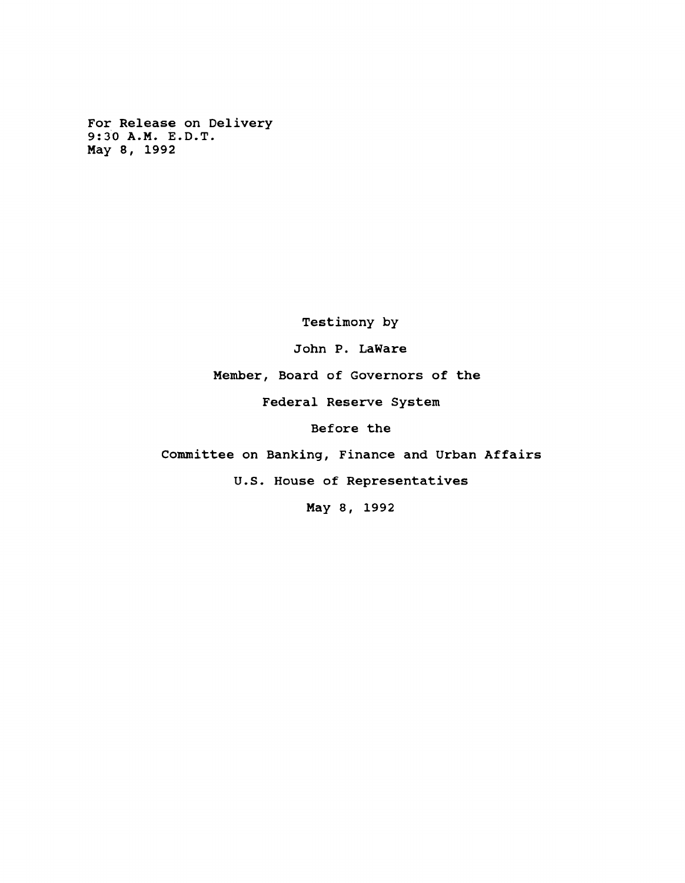**For Release on Delivery 9:30 A.M. E.D.T. May 8, 1992**

**Testimony by**

**John P. LaWare**

**Member, Board of Governors of the**

**Federal Reserve System**

**Before the**

**Committee on Banking, Finance and Urban Affairs**

**U.S. House of Representatives**

**May 8, 1992**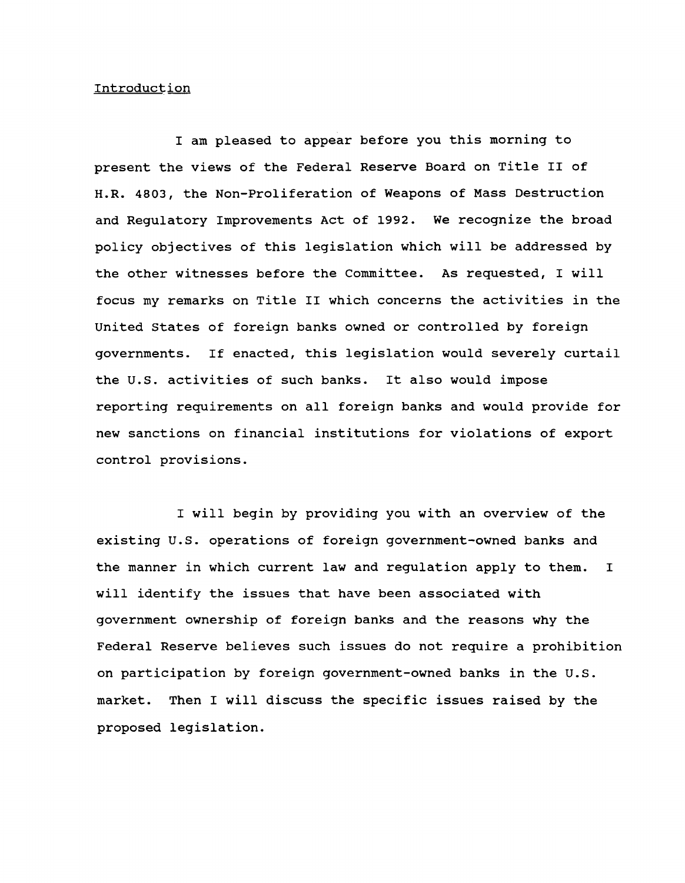#### **Introduction**

**I am pleased to appear before you this morning to present the views of the Federal Reserve Board on Title II of H.R. 4803, the Non-Proliferation of Weapons of Mass Destruction and Regulatory Improvements Act of 1992. We recognize the broad policy objectives of this legislation which will be addressed by the other witnesses before the Committee. As requested, I will focus my remarks on Title II which concerns the activities in the United States of foreign banks owned or controlled by foreign governments. If enacted, this legislation would severely curtail the U.S. activities of such banks. It also would impose reporting requirements on all foreign banks and would provide for new sanctions on financial institutions for violations of export control provisions.**

**I will begin by providing you with an overview of the existing U.S. operations of foreign government-owned banks and the manner in which current law and regulation apply to them. I will identify the issues that have been associated with government ownership of foreign banks and the reasons why the Federal Reserve believes such issues do not require a prohibition on participation by foreign government-owned banks in the U.S. market. Then I will discuss the specific issues raised by the proposed legislation.**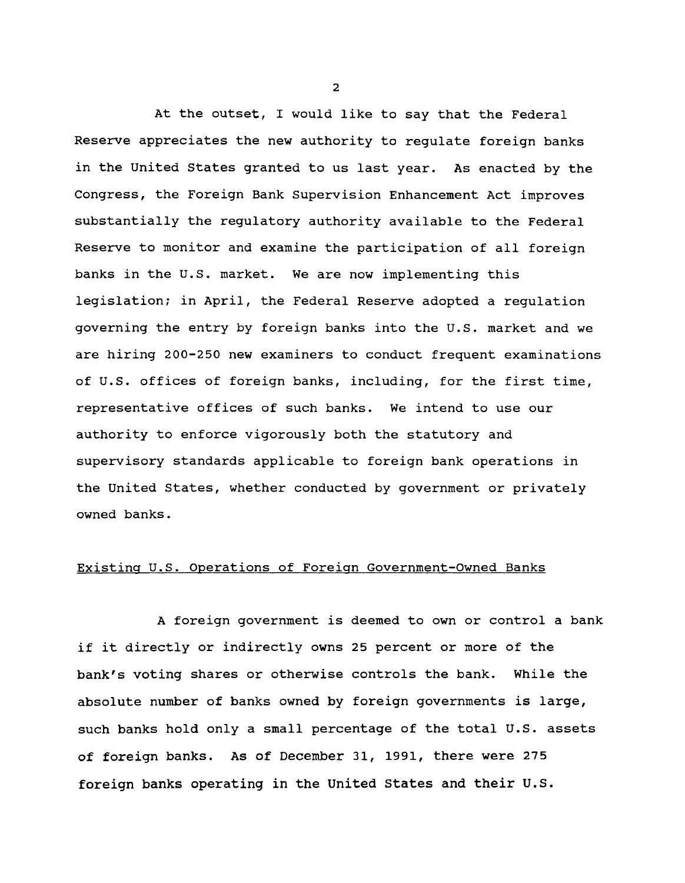**At the outset, I would like to say that the Federal Reserve appreciates the new authority to regulate foreign banks in the United States granted to us last year. As enacted by the Congress, the Foreign Bank Supervision Enhancement Act improves substantially the regulatory authority available to the Federal Reserve to monitor and examine the participation of all foreign banks in the U.S. market. We are now implementing this legislation; in April, the Federal Reserve adopted a regulation governing the entry by foreign banks into the U.S. market and we are hiring 200-250 new examiners to conduct frequent examinations of U.S. offices of foreign banks, including, for the first time, representative offices of such banks. We intend to use our authority to enforce vigorously both the statutory and supervisory standards applicable to foreign bank operations in the United States, whether conducted by government or privately owned banks.**

#### **Existing U.S. Operations of Foreign Government-Owned Banks**

**A foreign government is deemed to own or control a bank if it directly or indirectly owns 25 percent or more of the bank's voting shares or otherwise controls the bank. While the absolute number of banks owned by foreign governments is large, such banks hold only a small percentage of the total U.S. assets of foreign banks. As of December 31, 1991, there were 275 foreign banks operating in the United States and their U.S.**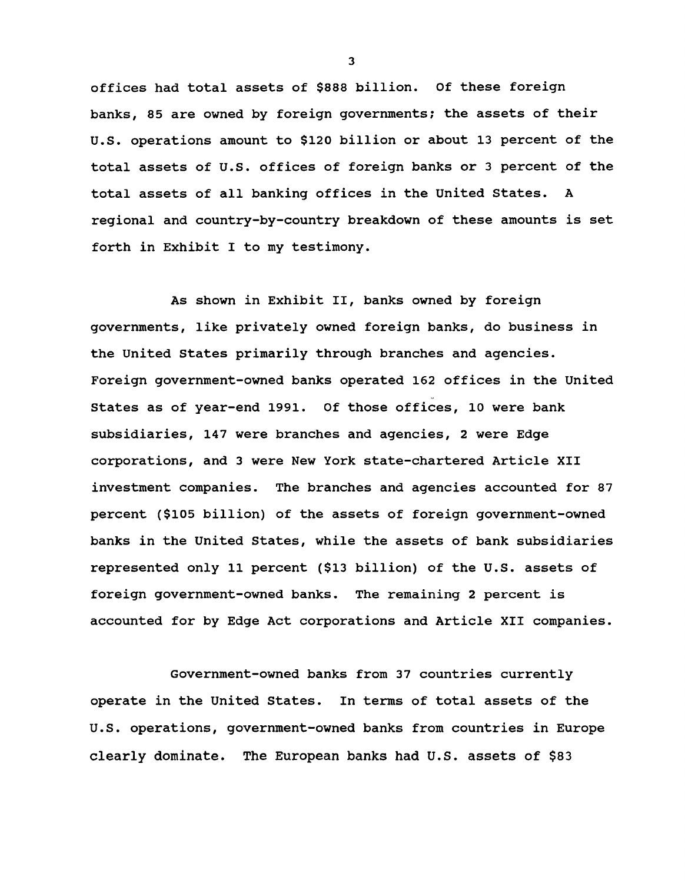**offices had total assets of \$888 billion. Of these foreign banks, 85 are owned by foreign governments; the assets of their U.S. operations amount to \$120 billion or about 13 percent of the total assets of U.S. offices of foreign banks or 3 percent of the total assets of all banking offices in the United States. A regional and country-by-country breakdown of these amounts is set forth in Exhibit I to my testimony.**

**As shown in Exhibit II, banks owned by foreign governments, like privately owned foreign banks, do business in the United States primarily through branches and agencies. Foreign government-owned banks operated 162 offices in the United States as of year-end 1991. Of those offices, 10 were bank subsidiaries, 147 were branches and agencies, 2 were Edge corporations, and 3 were New York state-chartered Article XII investment companies. The branches and agencies accounted for 87 percent (\$105 billion) of the assets of foreign government-owned banks in the United States, while the assets of bank subsidiaries represented only 11 percent (\$13 billion) of the U.S. assets of foreign government-owned banks. The remaining 2 percent is accounted for by Edge Act corporations and Article XII companies.**

**Government-owned banks from 37 countries currently operate in the United States. In terms of total assets of the U.S. operations, government-owned banks from countries in Europe clearly dominate. The European banks had U.S. assets of \$83**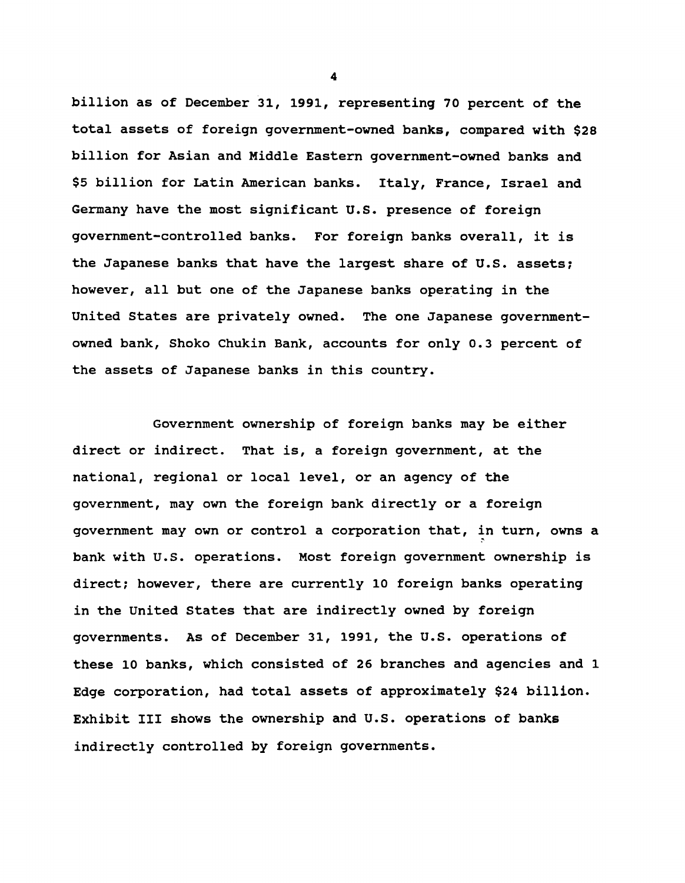**billion as of December 31, 1991, representing 70 percent of the total assets of foreign government-owned banks, compared with \$28 billion for Asian and Middle Eastern government-owned banks and \$5 billion for Latin American banks. Italy, France, Israel and Germany have the most significant U.S. presence of foreign government-controlled banks. For foreign banks overall, it is the Japanese banks that have the largest share of U.S. assets; however, all but one of the Japanese banks operating in the United States are privately owned. The one Japanese governmentowned bank, Shoko Chukin Bank, accounts for only 0.3 percent of the assets of Japanese banks in this country.**

**Government ownership of foreign banks may be either direct or indirect. That is, a foreign government, at the national, regional or local level, or an agency of the government, may own the foreign bank directly or a foreign government may own or control a corporation that, in turn, owns a bank with U.S. operations. Most foreign government ownership is direct; however, there are currently 10 foreign banks operating in the United States that are indirectly owned by foreign governments. As of December 31, 1991, the U.S. operations of these 10 banks, which consisted of 26 branches and agencies and 1 Edge corporation, had total assets of approximately \$24 billion. Exhibit III shows the ownership and U.S. operations of banks indirectly controlled by foreign governments.**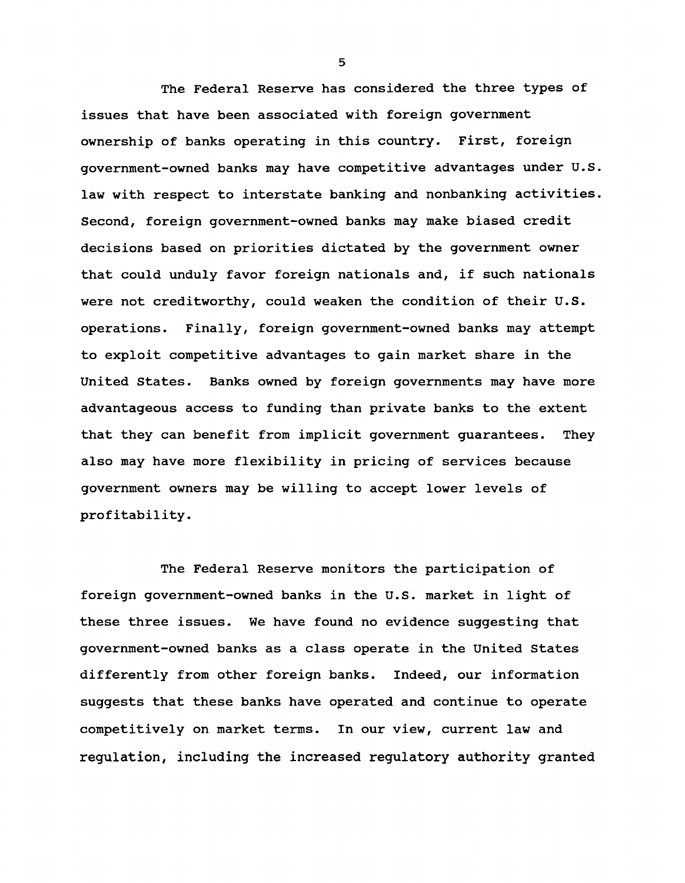**The Federal Reserve has considered the three types of issues that have been associated with foreign government ownership of banks operating in this country. First, foreign government-owned banks may have competitive advantages under U.S. law with respect to interstate banking and nonbanking activities. Second, foreign government-owned banks may make biased credit decisions based on priorities dictated by the government owner that could unduly favor foreign nationals and, if such nationals were not creditworthy, could weaken the condition of their U.S. operations. Finally, foreign government-owned banks may attempt to exploit competitive advantages to gain market share in the United States. Banks owned by foreign governments may have more advantageous access to funding than private banks to the extent that they can benefit from implicit government guarantees. They also may have more flexibility in pricing of services because government owners may be willing to accept lower levels of profitability.**

**The Federal Reserve monitors the participation of foreign government-owned banks in the U.S. market in light of these three issues. We have found no evidence suggesting that government-owned banks as a class operate in the United States differently from other foreign banks. Indeed, our information suggests that these banks have operated and continue to operate competitively on market terms. In our view, current law and regulation, including the increased regulatory authority granted**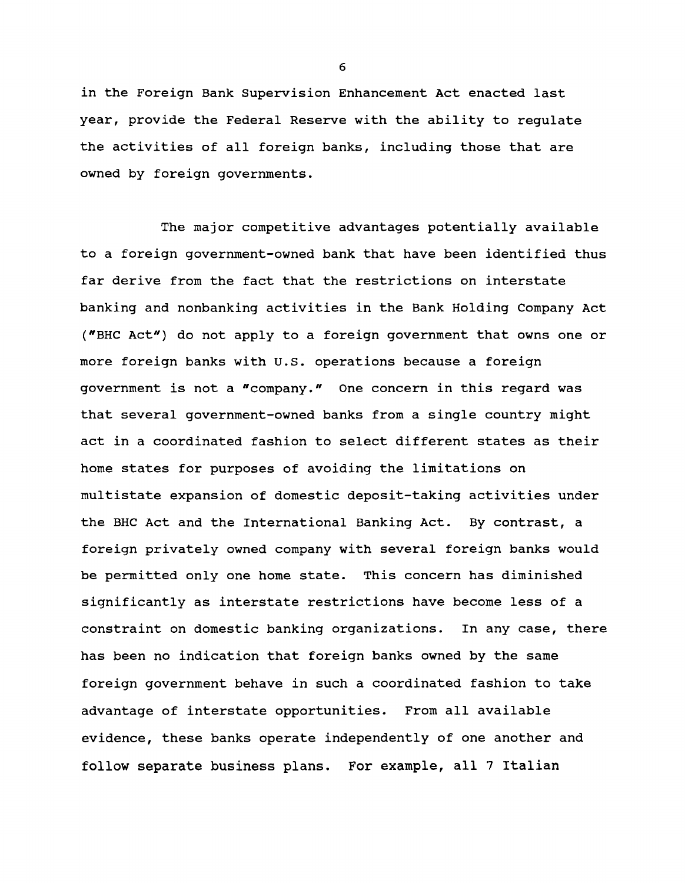**in the Foreign Bank Supervision Enhancement Act enacted last year, provide the Federal Reserve with the ability to regulate the activities of all foreign banks, including those that are owned by foreign governments.**

**The major competitive advantages potentially available to a foreign government-owned bank that have been identified thus far derive from the fact that the restrictions on interstate banking and nonbanking activities in the Bank Holding Company Act ("BHC Act") do not apply to a foreign government that owns one or more foreign banks with U.S. operations because a foreign government is not a "company." One concern in this regard was that several government-owned banks from a single country might act in a coordinated fashion to select different states as their home states for purposes of avoiding the limitations on multistate expansion of domestic deposit-taking activities under the BHC Act and the International Banking Act. By contrast, a foreign privately owned company with several foreign banks would be permitted only one home state. This concern has diminished significantly as interstate restrictions have become less of a constraint on domestic banking organizations. In any case, there has been no indication that foreign banks owned by the same foreign government behave in such a coordinated fashion to take advantage of interstate opportunities. From all available evidence, these banks operate independently of one another and follow separate business plans. For example, all 7 Italian**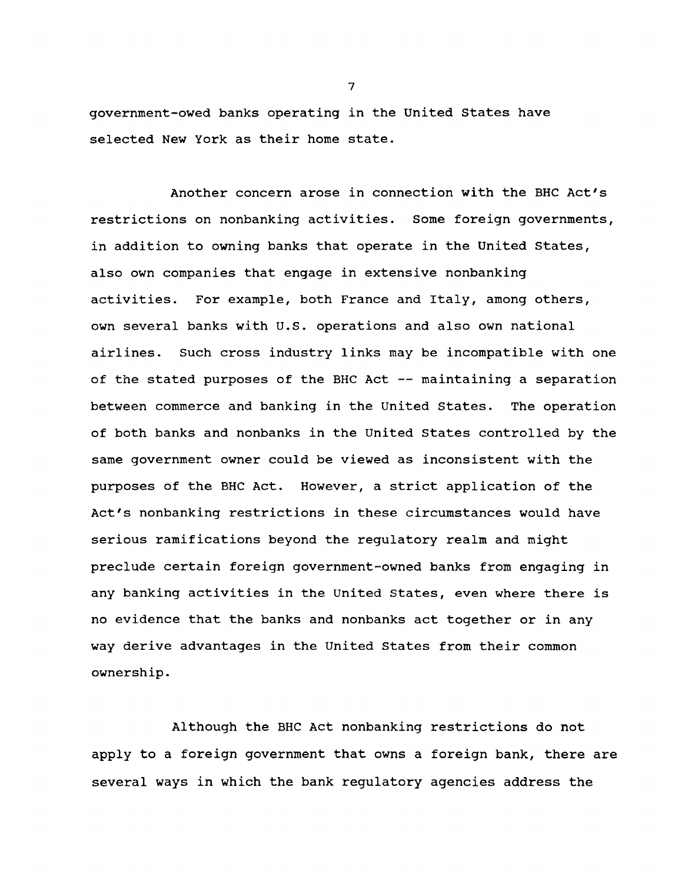**government-owed banks operating in the United States have selected New York as their home state.**

**Another concern arose in connection with the BHC Act's restrictions on nonbanking activities. Some foreign governments, in addition to owning banks that operate in the United States, also own companies that engage in extensive nonbanking activities. For example, both France and Italy, among others, own several banks with U.S. operations and also own national airlines. Such cross industry links may be incompatible with one of the stated purposes of the BHC Act — maintaining a separation between commerce and banking in the United States. The operation of both banks and nonbanks in the United States controlled by the same government owner could be viewed as inconsistent with the purposes of the BHC Act. However, a strict application of the Act's nonbanking restrictions in these circumstances would have serious ramifications beyond the regulatory realm and might preclude certain foreign government-owned banks from engaging in any banking activities in the United States, even where there is no evidence that the banks and nonbanks act together or in any way derive advantages in the United States from their common ownership.**

**Although the BHC Act nonbanking restrictions do not apply to a foreign government that owns a foreign bank, there are several ways in which the bank regulatory agencies address the**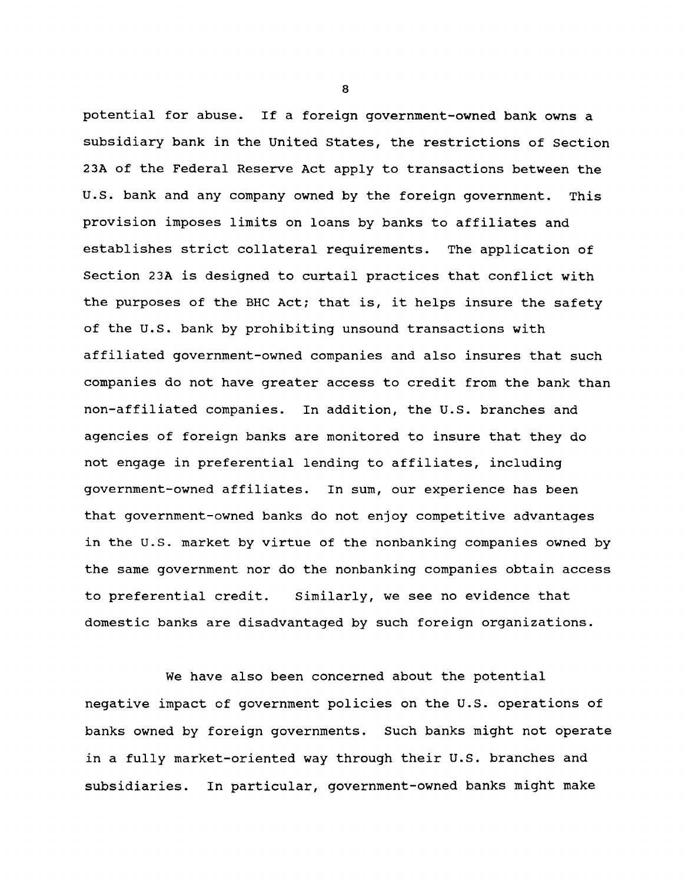**potential for abuse. If a foreign government-owned bank owns a subsidiary bank in the United States, the restrictions of Section 23A of the Federal Reserve Act apply to transactions between the U.S. bank and any company owned by the foreign government. This provision imposes limits on loans by banks to affiliates and establishes strict collateral requirements. The application of Section 2 3A is designed to curtail practices that conflict with the purposes of the BHC Act; that is, it helps insure the safety of the U.S. bank by prohibiting unsound transactions with affiliated government-owned companies and also insures that such companies do not have greater access to credit from the bank than non-affiliated companies. In addition, the U.S. branches and agencies of foreign banks are monitored to insure that they do not engage in preferential lending to affiliates, including government-owned affiliates. In sum, our experience has been that government-owned banks do not enjoy competitive advantages in the U.S. market by virtue of the nonbanking companies owned by the same government nor do the nonbanking companies obtain access to preferential credit. Similarly, we see no evidence that domestic banks are disadvantaged by such foreign organizations.**

**We have also been concerned about the potential negative impact of government policies on the U.S. operations of banks owned by foreign governments. Such banks might not operate in a fully market-oriented way through their U.S. branches and subsidiaries. In particular, government-owned banks might make**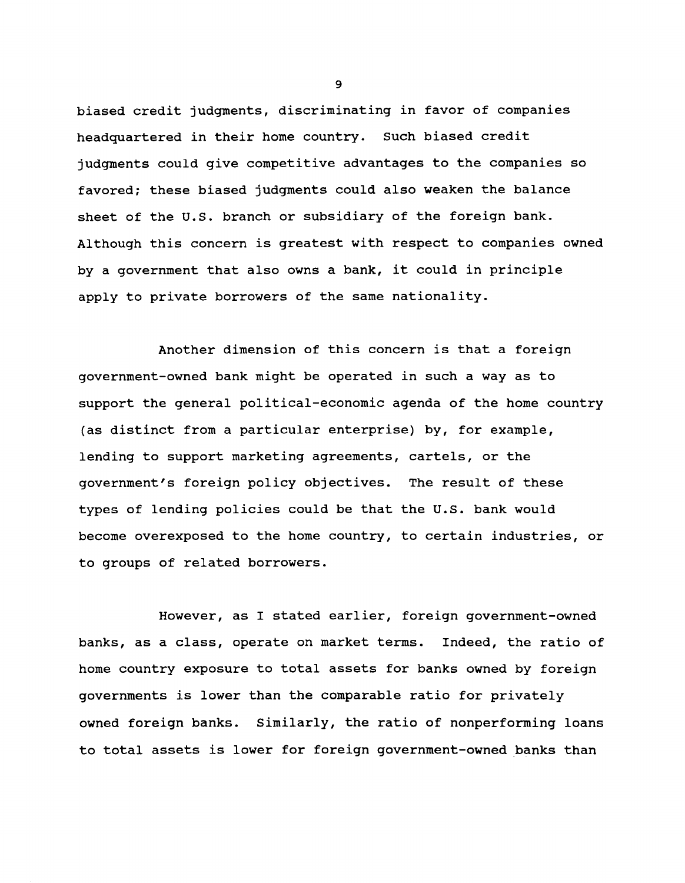**biased credit judgments, discriminating in favor of companies headquartered in their home country. Such biased credit judgments could give competitive advantages to the companies so favored; these biased judgments could also weaken the balance sheet of the U.S. branch or subsidiary of the foreign bank. Although this concern is greatest with respect to companies owned by a government that also owns a bank, it could in principle apply to private borrowers of the same nationality.**

**Another dimension of this concern is that a foreign government-owned bank might be operated in such a way as to support the general political-economic agenda of the home country (as distinct from a particular enterprise) by, for example, lending to support marketing agreements, cartels, or the government's foreign policy objectives. The result of these types of lending policies could be that the U.S. bank would become overexposed to the home country, to certain industries, or to groups of related borrowers.**

**However, as I stated earlier, foreign government-owned banks, as a class, operate on market terms. Indeed, the ratio of home country exposure to total assets for banks owned by foreign governments is lower than the comparable ratio for privately owned foreign banks. Similarly, the ratio of nonperforming loans to total assets is lower for foreign government-owned banks than**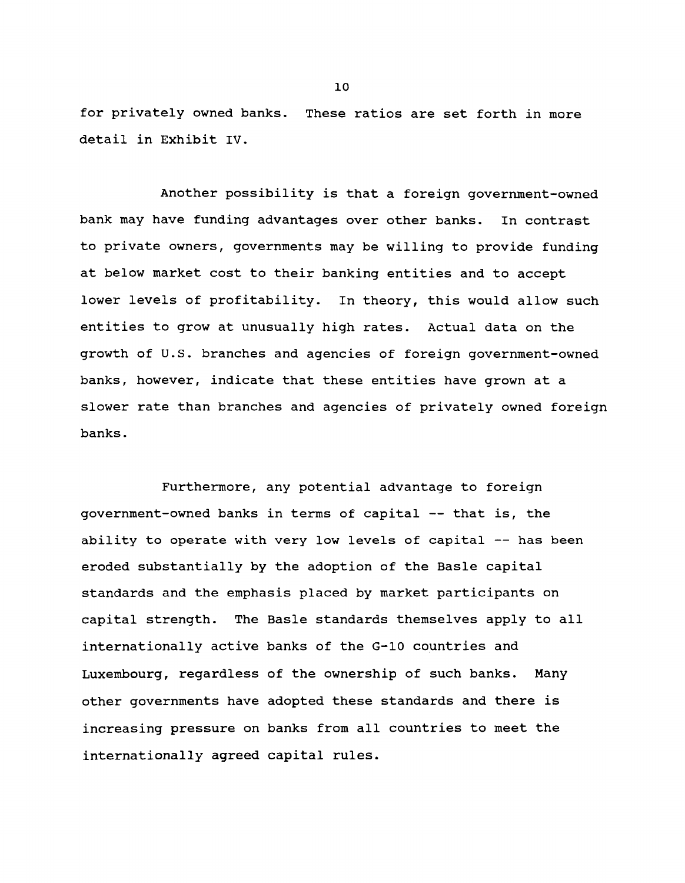**for privately owned banks. These ratios are set forth in more detail in Exhibit IV.**

**Another possibility is that a foreign government-owned bank may have funding advantages over other banks. In contrast to private owners, governments may be willing to provide funding at below market cost to their banking entities and to accept lower levels of profitability. In theory, this would allow such entities to grow at unusually high rates. Actual data on the growth of U.S. branches and agencies of foreign government-owned banks, however, indicate that these entities have grown at a slower rate than branches and agencies of privately owned foreign banks.**

**Furthermore, any potential advantage to foreign government-owned banks in terms of capital — that is, the ability to operate with very low levels of capital — has been eroded substantially by the adoption of the Basle capital standards and the emphasis placed by market participants on capital strength. The Basle standards themselves apply to all internationally active banks of the G-10 countries and Luxembourg, regardless of the ownership of such banks. Many other governments have adopted these standards and there is increasing pressure on banks from all countries to meet the internationally agreed capital rules.**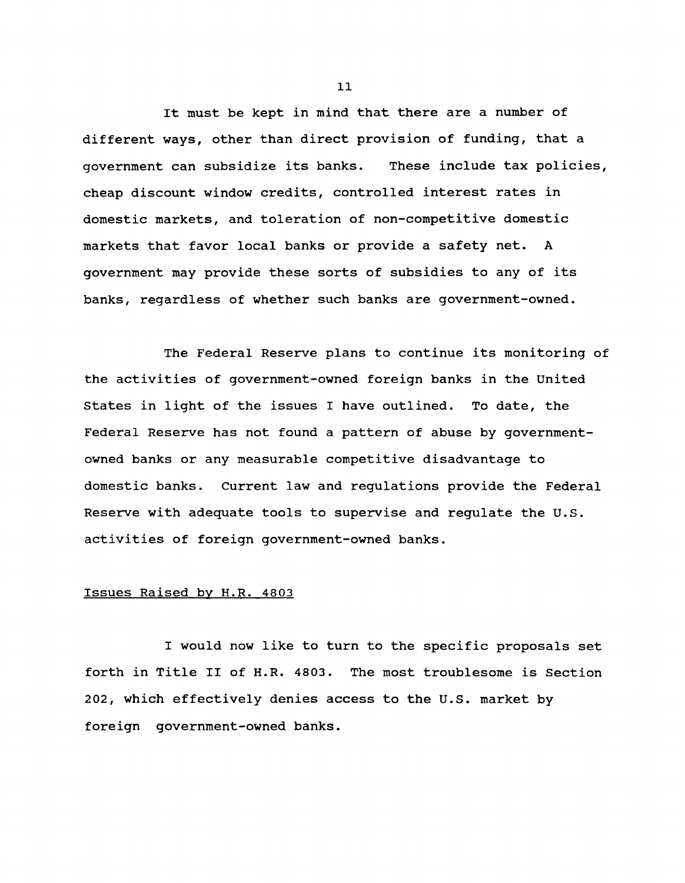**It must be kept in mind that there are a number of different ways, other than direct provision of funding, that a government can subsidize its banks. These include tax policies, cheap discount window credits, controlled interest rates in domestic markets, and toleration of non-competitive domestic markets that favor local banks or provide a safety net. A government may provide these sorts of subsidies to any of its banks, regardless of whether such banks are government-owned.**

**The Federal Reserve plans to continue its monitoring of the activities of government-owned foreign banks in the United States in light of the issues I have outlined. To date, the Federal Reserve has not found a pattern of abuse by governmentowned banks or any measurable competitive disadvantage to domestic banks. Current law and regulations provide the Federal Reserve with adequate tools to supervise and regulate the U.S. activities of foreign government-owned banks.**

#### **Issues Raised by H.R. 4803**

**I would now like to turn to the specific proposals set forth in Title II of H.R. 4803. The most troublesome is Section 202, which effectively denies access to the U.S. market by foreign government-owned banks.**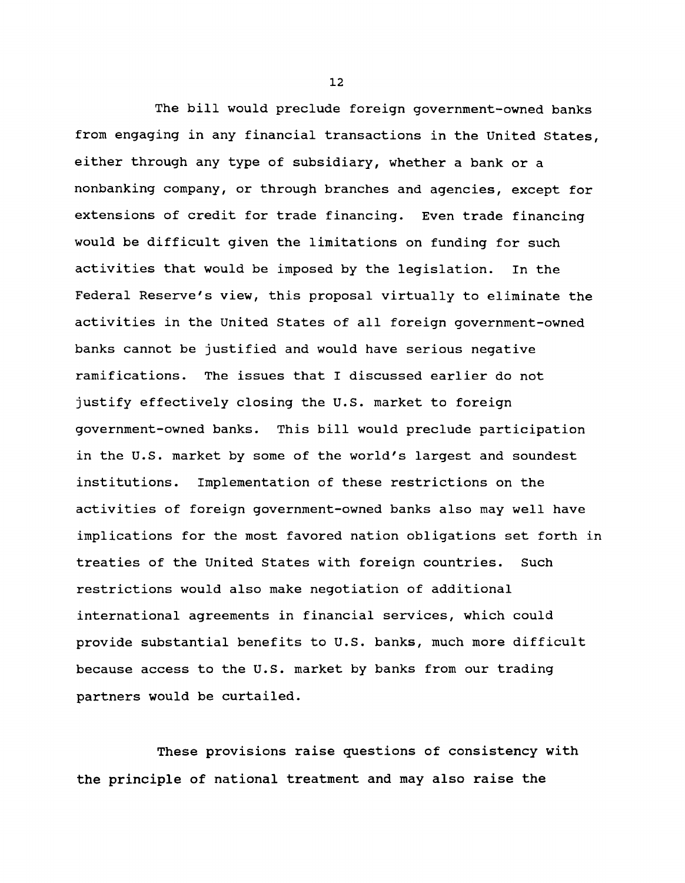**The bill would preclude foreign government-owned banks from engaging in any financial transactions in the United States, either through any type of subsidiary, whether a bank or a nonbanking company, or through branches and agencies, except for extensions of credit for trade financing. Even trade financing would be difficult given the limitations on funding for such activities that would be imposed by the legislation. In the Federal Reserve's view, this proposal virtually to eliminate the activities in the United States of all foreign government-owned banks cannot be justified and would have serious negative ramifications. The issues that I discussed earlier do not justify effectively closing the U.S. market to foreign government-owned banks. This bill would preclude participation in the U.S. market by some of the world's largest and soundest institutions. Implementation of these restrictions on the activities of foreign government-owned banks also may well have implications for the most favored nation obligations set forth in treaties of the United States with foreign countries. Such restrictions would also make negotiation of additional international agreements in financial services, which could provide substantial benefits to U.S. banks, much more difficult because access to the U.S. market by banks from our trading partners would be curtailed.**

**These provisions raise questions of consistency with the principle of national treatment and may also raise the**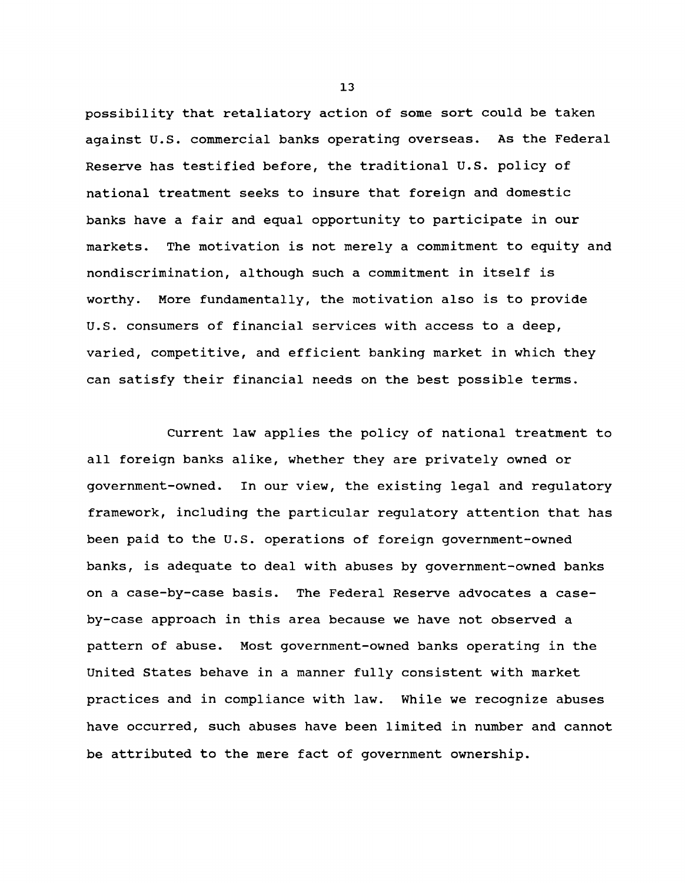**possibility that retaliatory action of some sort could be taken against U.S. commercial banks operating overseas. As the Federal Reserve has testified before, the traditional U.S. policy of national treatment seeks to insure that foreign and domestic banks have a fair and equal opportunity to participate in our markets. The motivation is not merely a commitment to equity and nondiscrimination, although such a commitment in itself is worthy. More fundamentally, the motivation also is to provide U.S. consumers of financial services with access to a deep, varied, competitive, and efficient banking market in which they can satisfy their financial needs on the best possible terms.**

**Current law applies the policy of national treatment to all foreign banks alike, whether they are privately owned or government-owned. In our view, the existing legal and regulatory framework, including the particular regulatory attention that has been paid to the U.S. operations of foreign government-owned banks, is adequate to deal with abuses by government-owned banks on a case-by-case basis. The Federal Reserve advocates a caseby-case approach in this area because we have not observed a pattern of abuse. Most government-owned banks operating in the United States behave in a manner fully consistent with market practices and in compliance with law. While we recognize abuses have occurred, such abuses have been limited in number and cannot be attributed to the mere fact of government ownership.**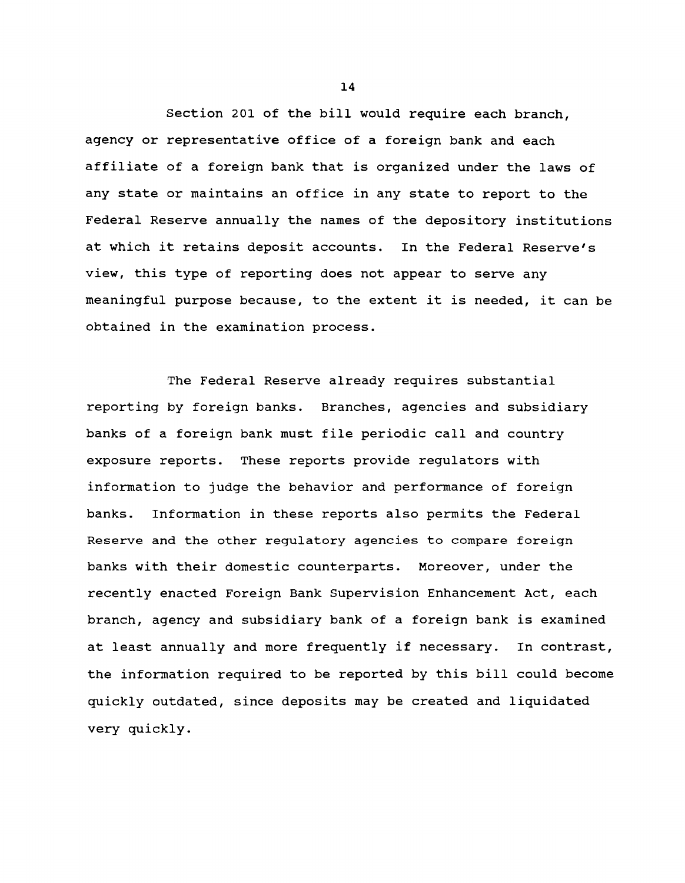**Section 201 of the bill would require each branch, agency or representative office of a foreign bank and each affiliate of a foreign bank that is organized under the laws of any state or maintains an office in any state to report to the Federal Reserve annually the names of the depository institutions at which it retains deposit accounts. In the Federal Reserve's view, this type of reporting does not appear to serve any meaningful purpose because, to the extent it is needed, it can be obtained in the examination process.**

**The Federal Reserve already requires substantial reporting by foreign banks. Branches, agencies and subsidiary banks of a foreign bank must file periodic call and country exposure reports. These reports provide regulators with information to judge the behavior and performance of foreign banks. Information in these reports also permits the Federal Reserve and the other regulatory agencies to compare foreign banks with their domestic counterparts. Moreover, under the recently enacted Foreign Bank Supervision Enhancement Act, each branch, agency and subsidiary bank of a foreign bank is examined at least annually and more frequently if necessary. In contrast, the information required to be reported by this bill could become quickly outdated, since deposits may be created and liquidated very quickly.**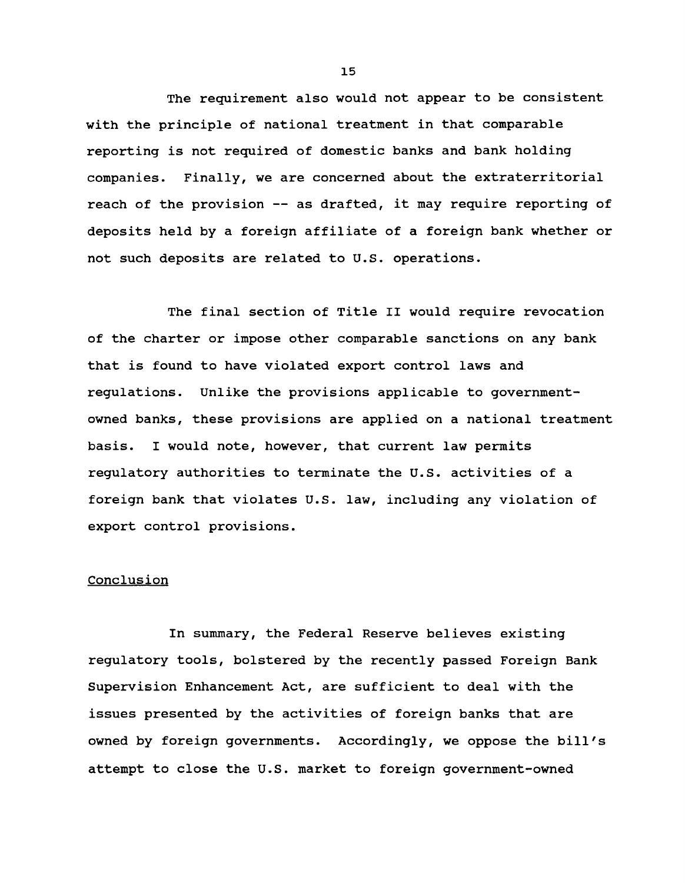**The requirement also would not appear to be consistent with the principle of national treatment in that comparable reporting is not required of domestic banks and bank holding companies. Finally, we are concerned about the extraterritorial reach of the provision — as drafted, it may require reporting of deposits held by a foreign affiliate of a foreign bank whether or not such deposits are related to U.S. operations.**

**The final section of Title II would require revocation of the charter or impose other comparable sanctions on any bank that is found to have violated export control laws and regulations. Unlike the provisions applicable to governmentowned banks, these provisions are applied on a national treatment basis. I would note, however, that current law permits regulatory authorities to terminate the U.S. activities of a foreign bank that violates U.S. law, including any violation of export control provisions.**

#### **Conclusion**

**In summary, the Federal Reserve believes existing regulatory tools, bolstered by the recently passed Foreign Bank Supervision Enhancement Act, are sufficient to deal with the issues presented by the activities of foreign banks that are owned by foreign governments. Accordingly, we oppose the bill's attempt to close the U.S. market to foreign government-owned**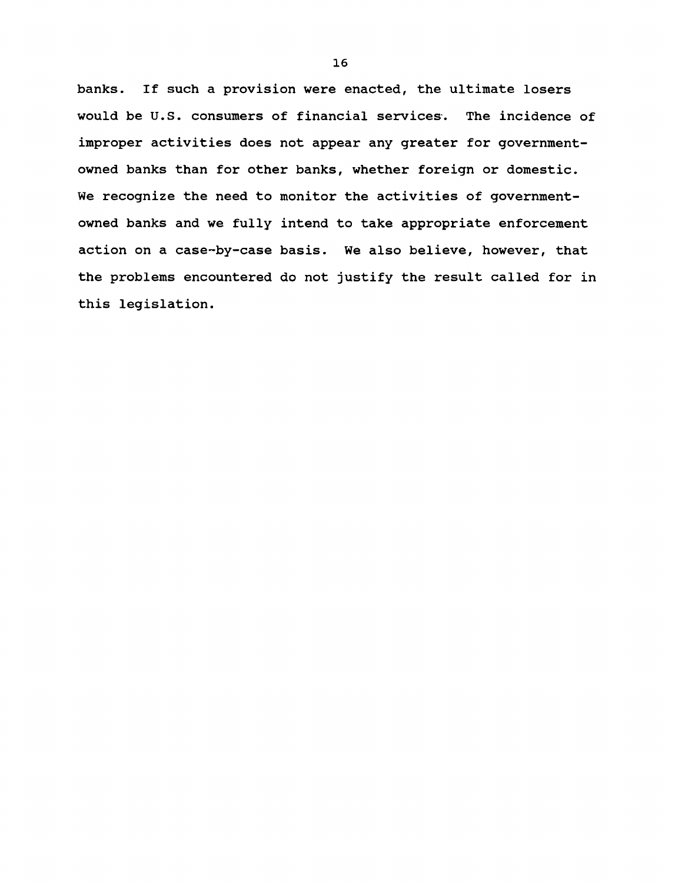**banks. If such a provision were enacted, the ultimate losers would be U.S. consumers of financial services. The incidence of improper activities does not appear any greater for governmentowned banks than for other banks, whether foreign or domestic. We recognize the need to monitor the activities of governmentowned banks and we fully intend to take appropriate enforcement action on a case-by-case basis. We also believe, however, that the problems encountered do not justify the result called for in this legislation.**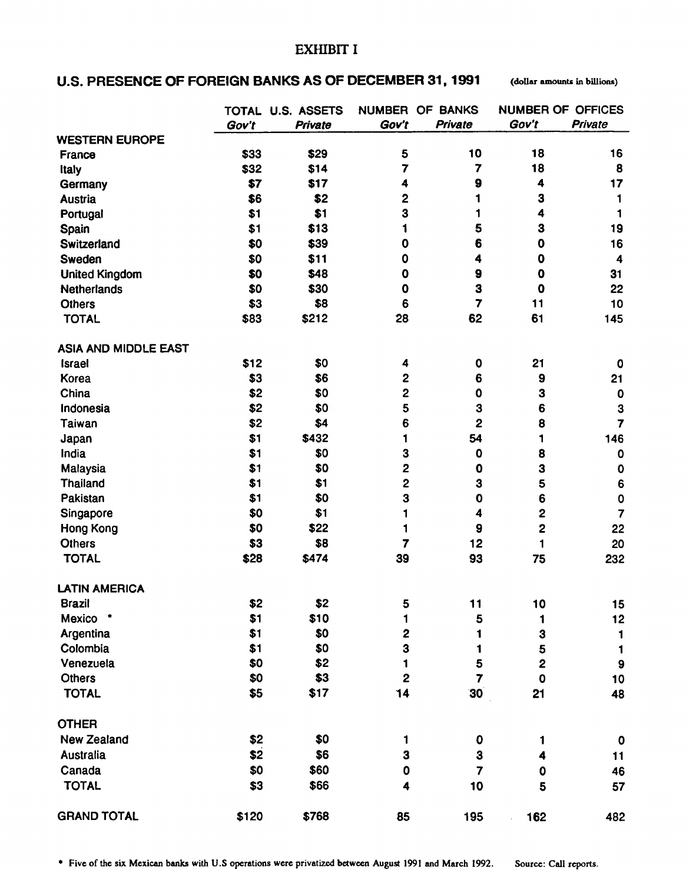### **EXfflBIT I**

## U.S. PRESENCE OF FOREIGN BANKS AS OF DECEMBER 31, 1991 (dollar amounts in billions)

|                             |       | TOTAL U.S. ASSETS | <b>NUMBER</b>           | OF BANKS                | <b>NUMBER OF OFFICES</b> |                  |
|-----------------------------|-------|-------------------|-------------------------|-------------------------|--------------------------|------------------|
|                             | Gov't | Private           | Gov't                   | Private                 | Gov't                    | <b>Private</b>   |
| <b>WESTERN EUROPE</b>       |       |                   |                         |                         |                          |                  |
| France                      | \$33  | \$29              | 5                       | 10                      | 18                       | 16               |
| Italy                       | \$32  | \$14              | 7                       | 7                       | 18                       | 8                |
| Germany                     | \$7   | \$17              | 4                       | 9                       | 4                        | 17               |
| <b>Austria</b>              | \$6   | \$2               | 2                       | 1                       | 3                        | 1                |
| Portugal                    | \$1   | \$1               | 3                       | 1                       | $\overline{\mathbf{4}}$  | 1                |
| Spain                       | \$1   | \$13              | 1                       | 5                       | 3                        | 19               |
| Switzerland                 | \$0   | \$39              | $\mathbf 0$             | 6                       | $\mathbf 0$              | 16               |
| Sweden                      | \$0   | \$11              | 0                       | 4                       | $\mathbf 0$              | 4                |
| <b>United Kingdom</b>       | \$0   | \$48              | $\mathbf 0$             | 9                       | $\mathbf 0$              | 31               |
| <b>Netherlands</b>          | \$0   | \$30              | $\mathbf 0$             | 3                       | $\mathbf 0$              | 22               |
| <b>Others</b>               | \$3   | \$8               | 6                       | $\overline{7}$          | 11                       | 10               |
| <b>TOTAL</b>                | \$83  | \$212             | 28                      | 62                      | 61                       | 145              |
| <b>ASIA AND MIDDLE EAST</b> |       |                   |                         |                         |                          |                  |
| <b>Israel</b>               | \$12  | \$0               | 4                       | 0                       | 21                       | $\mathbf 0$      |
| Korea                       | \$3   | \$6               | $\mathbf{2}$            | 6                       | 9                        | 21               |
| China                       | \$2   | \$0               | $\mathbf{2}$            | 0                       | 3                        | $\mathbf 0$      |
| Indonesia                   | \$2   | \$0               | 5                       | 3                       | 6                        | 3                |
| Taiwan                      | \$2   | \$4               | 6                       | $\mathbf 2$             | 8                        | $\overline{7}$   |
| Japan                       | \$1   | \$432             | 1                       | 54                      | 1                        | 146              |
| India                       | \$1   | \$0               | 3                       | 0                       | 8                        | $\pmb{0}$        |
| Malaysia                    | \$1   | \$0               | 2                       | 0                       | 3                        | $\pmb{0}$        |
| <b>Thailand</b>             | \$1   | \$1               | $\overline{\mathbf{c}}$ | 3                       | 5                        | 6                |
| Pakistan                    | \$1   | \$0               | 3                       | 0                       | 6                        | $\mathbf 0$      |
| Singapore                   | \$0   | \$1               | 1                       | 4                       | $\mathbf{2}$             | $\overline{7}$   |
| Hong Kong                   | \$0   | \$22              | 1                       | 9                       | 2                        | 22               |
| <b>Others</b>               | \$3   | \$8               | 7                       | 12                      | 1                        | 20               |
| <b>TOTAL</b>                | \$28  | \$474             | 39                      | 93                      | 75                       | 232              |
| <b>LATIN AMERICA</b>        |       |                   |                         |                         |                          |                  |
| <b>Brazil</b>               | \$2   | \$2               | 5                       | 11                      | 10                       | 15               |
| Mexico<br>٠                 | \$1   | \$10              | 1                       | 5                       | 1                        | 12               |
| Argentina                   | \$1   | \$0               | $\boldsymbol{2}$        | 1                       | 3                        | 1                |
| Colombia                    | \$1   | \$0               | 3                       | 1                       | 5                        | 1                |
| Venezuela                   | \$0   | \$2               | 1                       | 5                       | $\mathbf 2$              | $\boldsymbol{9}$ |
| <b>Others</b>               | \$0   | \$3               | $\overline{\mathbf{2}}$ | $\overline{7}$          | $\mathbf 0$              | 10               |
| <b>TOTAL</b>                | \$5   | \$17              | 14                      | 30                      | 21                       | 48               |
| <b>OTHER</b>                |       |                   |                         |                         |                          |                  |
| <b>New Zealand</b>          | \$2   | \$0               | 1                       | $\boldsymbol{0}$        | 1                        | 0                |
| <b>Australia</b>            | \$2   | \$6               | 3                       | 3                       | 4                        | 11               |
| Canada                      | \$0   | \$60              | $\mathbf 0$             | $\overline{\mathbf{7}}$ | 0                        | 46               |
| <b>TOTAL</b>                | \$3   | \$66              | 4                       | 10                      | 5                        | 57               |
| <b>GRAND TOTAL</b>          | \$120 | \$768             | 85                      | 195                     | 162                      | 482              |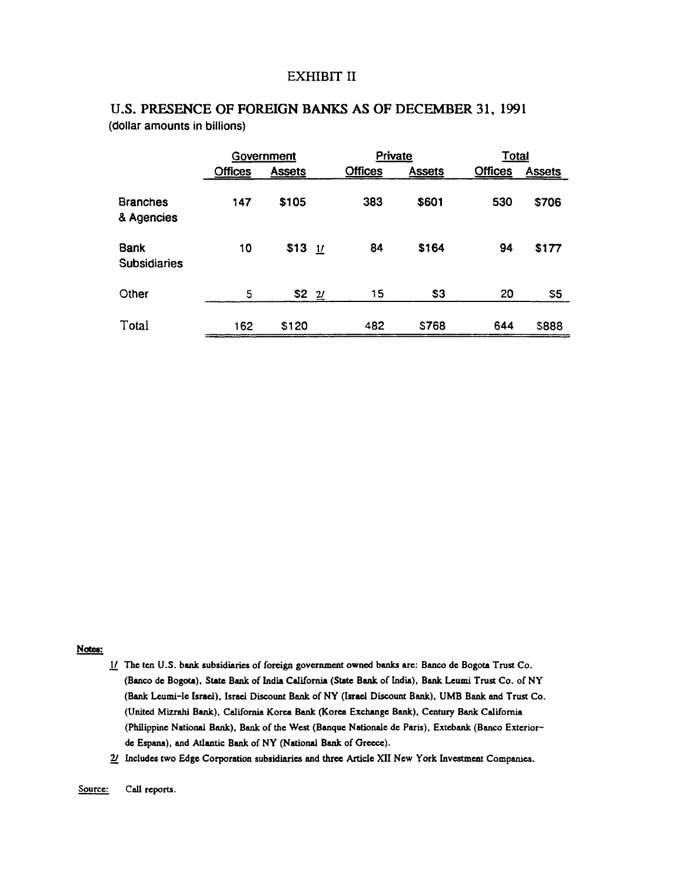### **EXHIBIT II**

|                               | Government     |               |                | Private        |               |                | <b>Total</b>  |  |
|-------------------------------|----------------|---------------|----------------|----------------|---------------|----------------|---------------|--|
|                               | <b>Offices</b> | <b>Assets</b> |                | <b>Offices</b> | <b>Assets</b> | <b>Offices</b> | <b>Assets</b> |  |
| <b>Branches</b><br>& Agencies | 147            | \$105         |                | 383            | \$601         | 530            | \$706         |  |
| Bank<br><b>Subsidiaries</b>   | 10             | $$13$ 1/      |                | 84             | \$164         | 94             | \$177         |  |
| Other                         | 5              | \$2           | $\overline{2}$ | 15             | \$3           | 20             | \$5           |  |
| Total                         | 162            | \$120         |                | 482            | <b>S768</b>   | 644            | \$888         |  |

## **U.S. PRESENCE OF FOREIGN BANKS AS OF DECEMBER 31, 1991** (dollar amounts in billions)

#### Notes:

- jV The ten U.S. bank subsidiaries of foreign government owned banks are: Banco de Bogota Trust Co. (Banco de Bogota), State Bank of India California (State Bank of India), Bank Leumi Trust Co. of NY (Bank Leumi-le Israel), Israel Discount Bank of NY (Israel Discount Bank), UMB Bank and Trust Co. (United Mizrahi Bank), California Korea Bank (Korea Exchange Bank), Century Bank California (Philippine National Bank), Bank of the West (Banque Nationale de Paris), Extebank (Banco Exteriorde Espana), and Atlantic Bank of NY (National Bank of Greece).
- 2/ Includes two Edge Corporation subsidiaries and three Article XII New York Investment Companies.

Source: Call reports.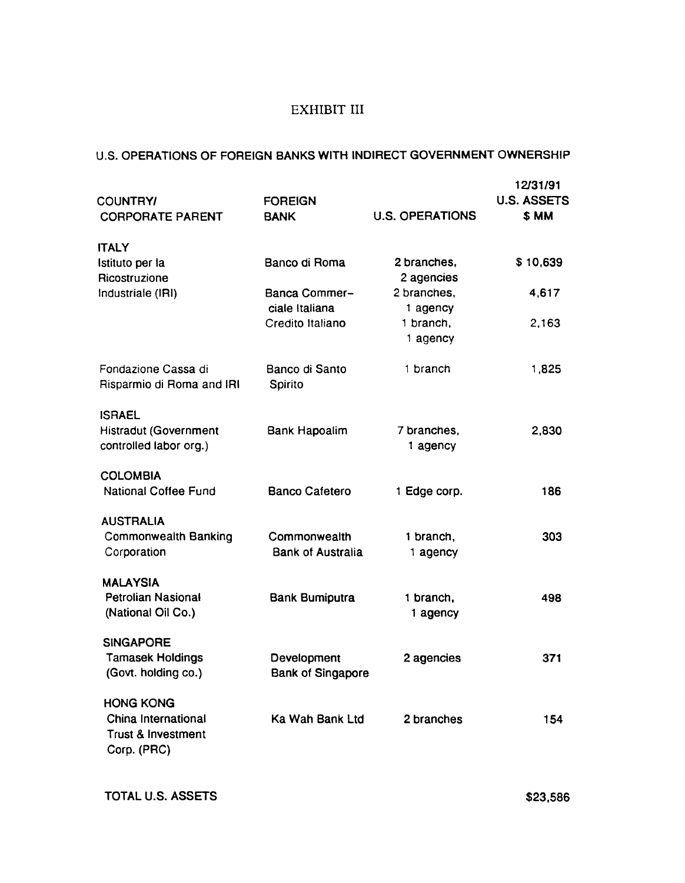# **EXHIBIT III**

## U.S. OPERATIONS OF FOREIGN BANKS WITH INDIRECT GOVERNMENT OWNERSHIP

| <b>COUNTRY/</b><br><b>CORPORATE PARENT</b>                                              | <b>FOREIGN</b><br><b>BANK</b>            | <b>U.S. OPERATIONS</b>    | 12/31/91<br><b>U.S. ASSETS</b><br>\$ MM |  |
|-----------------------------------------------------------------------------------------|------------------------------------------|---------------------------|-----------------------------------------|--|
| <b>ITALY</b>                                                                            |                                          |                           |                                         |  |
| Istituto per la<br>Ricostruzione                                                        | Banco di Roma                            | 2 branches,<br>2 agencies | \$10,639                                |  |
| Industriale (IRI)                                                                       | Banca Commer-<br>ciale Italiana          | 2 branches,<br>1 agency   | 4,617                                   |  |
|                                                                                         | Credito Italiano                         | 1 branch,<br>1 agency     | 2,163                                   |  |
| Fondazione Cassa di<br>Risparmio di Roma and IRI                                        | Banco di Santo<br>Spirito                | 1 branch                  | 1,825                                   |  |
| <b>ISRAEL</b><br><b>Histradut (Government</b><br>controlled labor org.)                 | Bank Hapoalim                            | 7 branches,<br>1 agency   | 2,830                                   |  |
| <b>COLOMBIA</b><br><b>National Coffee Fund</b>                                          | <b>Banco Cafetero</b>                    | 1 Edge corp.              | 186                                     |  |
| <b>AUSTRALIA</b><br><b>Commonwealth Banking</b><br>Corporation                          | Commonwealth<br><b>Bank of Australia</b> | 1 branch,<br>1 agency     | 303                                     |  |
| <b>MALAYSIA</b><br><b>Petrolian Nasional</b><br>(National Oil Co.)                      | <b>Bank Bumiputra</b>                    | 1 branch,<br>1 agency     | 498                                     |  |
| <b>SINGAPORE</b><br><b>Tamasek Holdings</b><br>(Govt. holding co.)                      | Development<br><b>Bank of Singapore</b>  | 2 agencies                | 371                                     |  |
| <b>HONG KONG</b><br>China International<br><b>Trust &amp; Investment</b><br>Corp. (PRC) | Ka Wah Bank Ltd                          | 2 branches                | 154                                     |  |